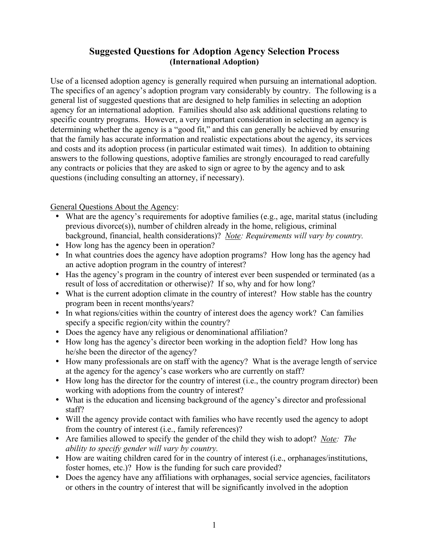## **Suggested Questions for Adoption Agency Selection Process (International Adoption)**

Use of a licensed adoption agency is generally required when pursuing an international adoption. The specifics of an agency's adoption program vary considerably by country. The following is a general list of suggested questions that are designed to help families in selecting an adoption agency for an international adoption. Families should also ask additional questions relating to specific country programs. However, a very important consideration in selecting an agency is determining whether the agency is a "good fit," and this can generally be achieved by ensuring that the family has accurate information and realistic expectations about the agency, its services and costs and its adoption process (in particular estimated wait times). In addition to obtaining answers to the following questions, adoptive families are strongly encouraged to read carefully any contracts or policies that they are asked to sign or agree to by the agency and to ask questions (including consulting an attorney, if necessary).

General Questions About the Agency:

- What are the agency's requirements for adoptive families (e.g., age, marital status (including previous divorce(s)), number of children already in the home, religious, criminal background, financial, health considerations)? *Note: Requirements will vary by country.*
- How long has the agency been in operation?
- In what countries does the agency have adoption programs? How long has the agency had an active adoption program in the country of interest?
- Has the agency's program in the country of interest ever been suspended or terminated (as a result of loss of accreditation or otherwise)? If so, why and for how long?
- What is the current adoption climate in the country of interest? How stable has the country program been in recent months/years?
- In what regions/cities within the country of interest does the agency work? Can families specify a specific region/city within the country?
- Does the agency have any religious or denominational affiliation?
- How long has the agency's director been working in the adoption field? How long has he/she been the director of the agency?
- How many professionals are on staff with the agency? What is the average length of service at the agency for the agency's case workers who are currently on staff?
- How long has the director for the country of interest (i.e., the country program director) been working with adoptions from the country of interest?
- What is the education and licensing background of the agency's director and professional staff?
- Will the agency provide contact with families who have recently used the agency to adopt from the country of interest (i.e., family references)?
- Are families allowed to specify the gender of the child they wish to adopt? *Note: The ability to specify gender will vary by country.*
- How are waiting children cared for in the country of interest (i.e., orphanages/institutions, foster homes, etc.)? How is the funding for such care provided?
- Does the agency have any affiliations with orphanages, social service agencies, facilitators or others in the country of interest that will be significantly involved in the adoption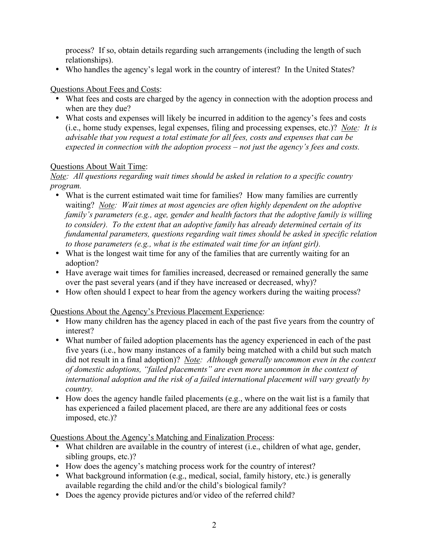process? If so, obtain details regarding such arrangements (including the length of such relationships).

• Who handles the agency's legal work in the country of interest? In the United States?

## Questions About Fees and Costs:

- What fees and costs are charged by the agency in connection with the adoption process and when are they due?
- What costs and expenses will likely be incurred in addition to the agency's fees and costs (i.e., home study expenses, legal expenses, filing and processing expenses, etc.)? *Note: It is advisable that you request a total estimate for all fees, costs and expenses that can be expected in connection with the adoption process – not just the agency's fees and costs.*

## Questions About Wait Time:

*Note: All questions regarding wait times should be asked in relation to a specific country program.*

- What is the current estimated wait time for families? How many families are currently waiting? *Note: Wait times at most agencies are often highly dependent on the adoptive family's parameters (e.g., age, gender and health factors that the adoptive family is willing to consider). To the extent that an adoptive family has already determined certain of its fundamental parameters, questions regarding wait times should be asked in specific relation to those parameters (e.g., what is the estimated wait time for an infant girl).*
- What is the longest wait time for any of the families that are currently waiting for an adoption?
- Have average wait times for families increased, decreased or remained generally the same over the past several years (and if they have increased or decreased, why)?
- How often should I expect to hear from the agency workers during the waiting process?

Questions About the Agency's Previous Placement Experience:

- How many children has the agency placed in each of the past five years from the country of interest?
- What number of failed adoption placements has the agency experienced in each of the past five years (i.e., how many instances of a family being matched with a child but such match did not result in a final adoption)? *Note: Although generally uncommon even in the context of domestic adoptions, "failed placements" are even more uncommon in the context of international adoption and the risk of a failed international placement will vary greatly by country.*
- How does the agency handle failed placements (e.g., where on the wait list is a family that has experienced a failed placement placed, are there are any additional fees or costs imposed, etc.)?

Questions About the Agency's Matching and Finalization Process:

- What children are available in the country of interest (i.e., children of what age, gender, sibling groups, etc.)?
- How does the agency's matching process work for the country of interest?
- What background information (e.g., medical, social, family history, etc.) is generally available regarding the child and/or the child's biological family?
- Does the agency provide pictures and/or video of the referred child?